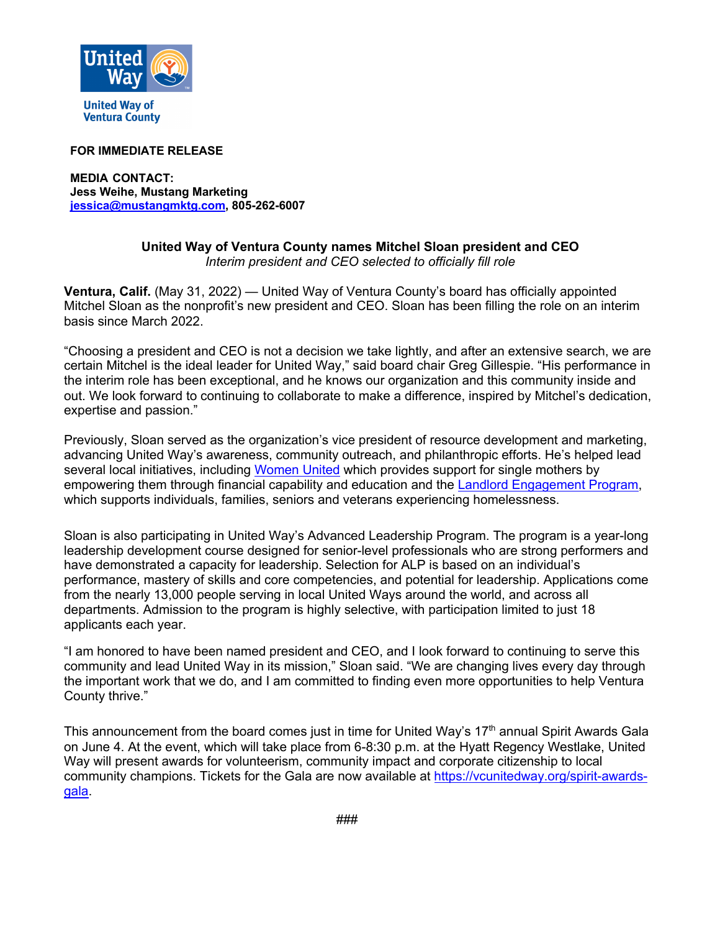

**Ventura County** 

## **FOR IMMEDIATE RELEASE**

**MEDIA CONTACT: Jess Weihe, Mustang Marketing jessica@mustangmktg.com, 805-262-6007**

## **United Way of Ventura County names Mitchel Sloan president and CEO** *Interim president and CEO selected to officially fill role*

**Ventura, Calif.** (May 31, 2022) — United Way of Ventura County's board has officially appointed Mitchel Sloan as the nonprofit's new president and CEO. Sloan has been filling the role on an interim basis since March 2022.

"Choosing a president and CEO is not a decision we take lightly, and after an extensive search, we are certain Mitchel is the ideal leader for United Way," said board chair Greg Gillespie. "His performance in the interim role has been exceptional, and he knows our organization and this community inside and out. We look forward to continuing to collaborate to make a difference, inspired by Mitchel's dedication, expertise and passion."

Previously, Sloan served as the organization's vice president of resource development and marketing, advancing United Way's awareness, community outreach, and philanthropic efforts. He's helped lead several local initiatives, including Women United which provides support for single mothers by empowering them through financial capability and education and the Landlord Engagement Program, which supports individuals, families, seniors and veterans experiencing homelessness.

Sloan is also participating in United Way's Advanced Leadership Program. The program is a year-long leadership development course designed for senior-level professionals who are strong performers and have demonstrated a capacity for leadership. Selection for ALP is based on an individual's performance, mastery of skills and core competencies, and potential for leadership. Applications come from the nearly 13,000 people serving in local United Ways around the world, and across all departments. Admission to the program is highly selective, with participation limited to just 18 applicants each year.

"I am honored to have been named president and CEO, and I look forward to continuing to serve this community and lead United Way in its mission," Sloan said. "We are changing lives every day through the important work that we do, and I am committed to finding even more opportunities to help Ventura County thrive."

This announcement from the board comes just in time for United Way's 17<sup>th</sup> annual Spirit Awards Gala on June 4. At the event, which will take place from 6-8:30 p.m. at the Hyatt Regency Westlake, United Way will present awards for volunteerism, community impact and corporate citizenship to local community champions. Tickets for the Gala are now available at https://vcunitedway.org/spirit-awardsgala.